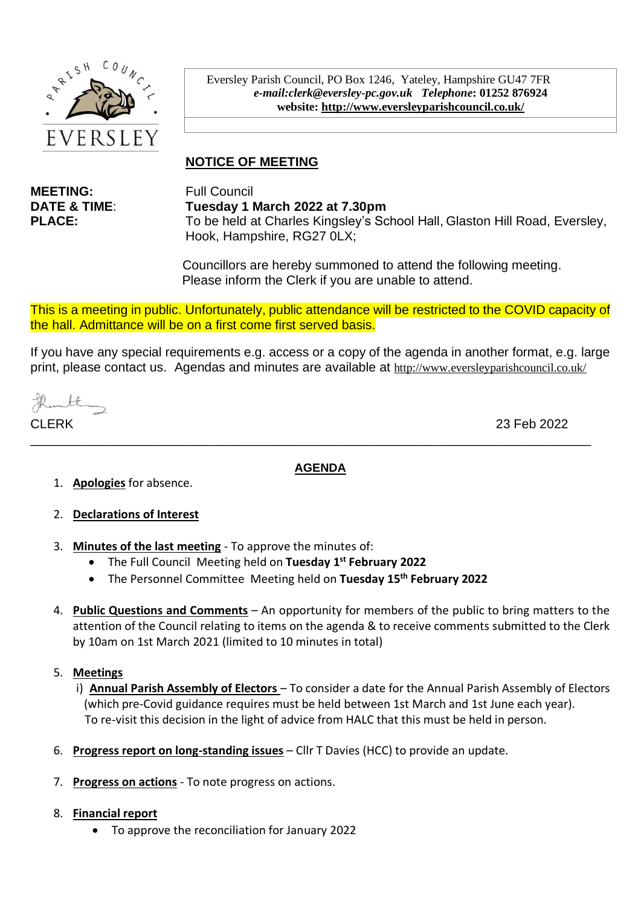

Eversley Parish Council, PO Box 1246, Yateley, Hampshire GU47 7FR *e-mail:clerk@eversley-pc.gov.uk**Telephone***: 01252 876924 website:<http://www.eversleyparishcouncil.co.uk/>**

# **NOTICE OF MEETING**

**MEETING:** Full Council

**DATE & TIME**: **Tuesday 1 March 2022 at 7.30pm PLACE:** To be held at Charles Kingsley's School Hall, Glaston Hill Road, Eversley, Hook, Hampshire, RG27 0LX;

> Councillors are hereby summoned to attend the following meeting. Please inform the Clerk if you are unable to attend.

This is a meeting in public. Unfortunately, public attendance will be restricted to the COVID capacity of the hall. Admittance will be on a first come first served basis.

If you have any special requirements e.g. access or a copy of the agenda in another format, e.g. large print, please contact us. Agendas and minutes are available at <http://www.eversleyparishcouncil.co.uk/>

thanthy

CLERK 23 Feb 2022

#### **AGENDA**

\_\_\_\_\_\_\_\_\_\_\_\_\_\_\_\_\_\_\_\_\_\_\_\_\_\_\_\_\_\_\_\_\_\_\_\_\_\_\_\_\_\_\_\_\_\_\_\_\_\_\_\_\_\_\_\_\_\_\_\_\_\_\_\_\_\_\_\_\_\_\_\_\_\_\_\_\_\_

- 1. **Apologies** for absence.
- 2. **Declarations of Interest**
- 3. **Minutes of the last meeting** To approve the minutes of:
	- The Full Council Meeting held on **Tuesday 1 st February 2022**
	- The Personnel Committee Meeting held on **Tuesday 15th February 2022**
- 4. **Public Questions and Comments** An opportunity for members of the public to bring matters to the attention of the Council relating to items on the agenda & to receive comments submitted to the Clerk by 10am on 1st March 2021 (limited to 10 minutes in total)

#### 5. **Meetings**

- i) **Annual Parish Assembly of Electors**  To consider a date for the Annual Parish Assembly of Electors (which pre-Covid guidance requires must be held between 1st March and 1st June each year). To re-visit this decision in the light of advice from HALC that this must be held in person.
- 6. **Progress report on long-standing issues** Cllr T Davies (HCC) to provide an update.
- 7. **Progress on actions** To note progress on actions.
- 8. **Financial report** 
	- To approve the reconciliation for January 2022